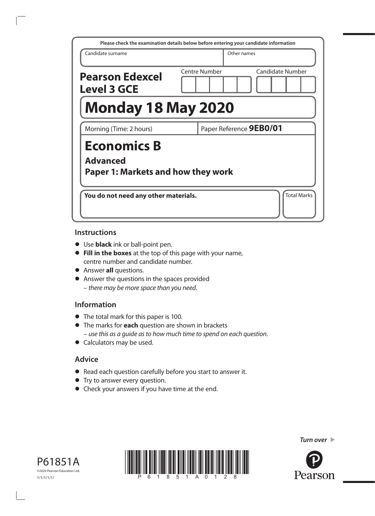|                                                                                    | Please check the examination details below before entering your candidate information |                         |
|------------------------------------------------------------------------------------|---------------------------------------------------------------------------------------|-------------------------|
| Candidate surname                                                                  | Other names                                                                           |                         |
| <b>Pearson Edexcel</b><br><b>Level 3 GCE</b>                                       | <b>Centre Number</b>                                                                  | <b>Candidate Number</b> |
| <b>Monday 18 May 2020</b>                                                          |                                                                                       |                         |
| Morning (Time: 2 hours)                                                            | Paper Reference <b>9EB0/01</b>                                                        |                         |
| <b>Economics B</b><br><b>Advanced</b><br><b>Paper 1: Markets and how they work</b> |                                                                                       |                         |
| You do not need any other materials.                                               |                                                                                       | <b>Total Marks</b>      |

# **Instructions**

- **•** Use **black** ink or ball-point pen.
- **• Fill in the boxes** at the top of this page with your name, centre number and candidate number.
- **•** Answer **all** questions.
- **•** Answer the questions in the spaces provided – *there may be more space than you need*.

# **Information**

- **•** The total mark for this paper is 100.
- **•** The marks for **each** question are shown in brackets – *use this as a guide as to how much time to spend on each question*.
- **•** Calculators may be used.

# **Advice**

- **•** Read each question carefully before you start to answer it.
- **•** Try to answer every question.
- **•** Check your answers if you have time at the end.





*Turn over* 

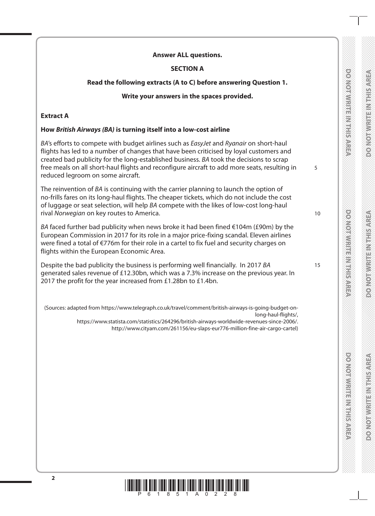# **Answer ALL questions.**

# **SECTION A**

# **Read the following extracts (A to C) before answering Question 1.**

#### **Write your answers in the spaces provided.**

#### **Extract A**

#### **How** *British Airways (BA)* **is turning itself into a low-cost airline**

*BA*'s efforts to compete with budget airlines such as *EasyJet* and *Ryanair* on short-haul flights has led to a number of changes that have been criticised by loyal customers and created bad publicity for the long-established business. *BA* took the decisions to scrap free meals on all short-haul flights and reconfigure aircraft to add more seats, resulting in reduced legroom on some aircraft.

The reinvention of *BA* is continuing with the carrier planning to launch the option of no-frills fares on its long-haul flights. The cheaper tickets, which do not include the cost of luggage or seat selection, will help *BA* compete with the likes of low-cost long-haul rival *Norwegian* on key routes to America.

*BA* faced further bad publicity when news broke it had been fined  $\epsilon$ 104m (£90m) by the European Commission in 2017 for its role in a major price-fixing scandal. Eleven airlines were fined a total of €776m for their role in a cartel to fix fuel and security charges on flights within the European Economic Area.

Despite the bad publicity the business is performing well financially. In 2017 *BA* generated sales revenue of £12.30bn, which was a 7.3% increase on the previous year. In 2017 the profit for the year increased from £1.28bn to £1.4bn.

(Sources: adapted from https://www.telegraph.co.uk/travel/comment/british-airways-is-going-budget-onlong-haul-flights/,

 https://www.statista.com/statistics/264296/british-airways-worldwide-revenues-since-2006/. http://www.cityam.com/261156/eu-slaps-eur776-million-fine-air-cargo-cartel) 10

5

**DOMORATION CONTROL** 

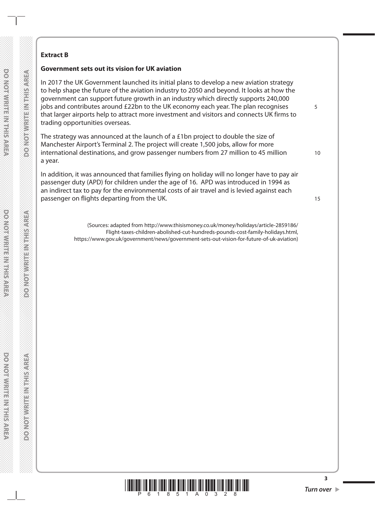# **Extract B**

# **Government sets out its vision for UK aviation**

In 2017 the UK Government launched its initial plans to develop a new aviation strategy to help shape the future of the aviation industry to 2050 and beyond. It looks at how the government can support future growth in an industry which directly supports 240,000 jobs and contributes around £22bn to the UK economy each year. The plan recognises that larger airports help to attract more investment and visitors and connects UK firms to trading opportunities overseas.

The strategy was announced at the launch of a £1bn project to double the size of Manchester Airport's Terminal 2. The project will create 1,500 jobs, allow for more international destinations, and grow passenger numbers from 27 million to 45 million a year.

In addition, it was announced that families flying on holiday will no longer have to pay air passenger duty (APD) for children under the age of 16. APD was introduced in 1994 as an indirect tax to pay for the environmental costs of air travel and is levied against each passenger on flights departing from the UK.

> (Sources: adapted from http://www.thisismoney.co.uk/money/holidays/article-2859186/ Flight-taxes-children-abolished-cut-hundreds-pounds-cost-family-holidays.html, https://www.gov.uk/government/news/government-sets-out-vision-for-future-of-uk-aviation)



5

10

15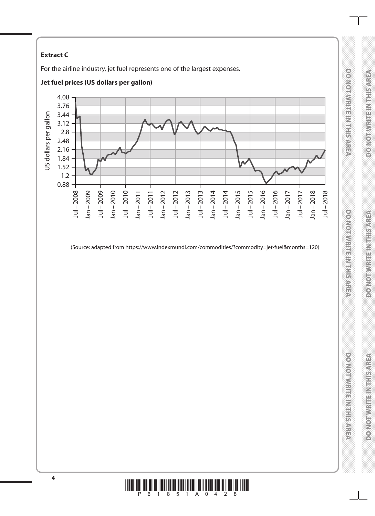# **Extract C**

For the airline industry, jet fuel represents one of the largest expenses.



# **Jet fuel prices (US dollars per gallon)**

(Source: adapted from https://www.indexmundi.com/commodities/?commodity=jet-fuel&months=120)



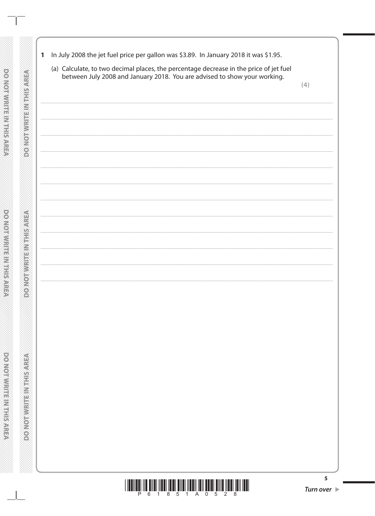- In July 2008 the jet fuel price per gallon was \$3.89. In January 2018 it was \$1.95.  $\mathbf{1}$ (a) Calculate, to two decimal places, the percentage decrease in the price of jet fuel
	- between July 2008 and January 2018. You are advised to show your working.

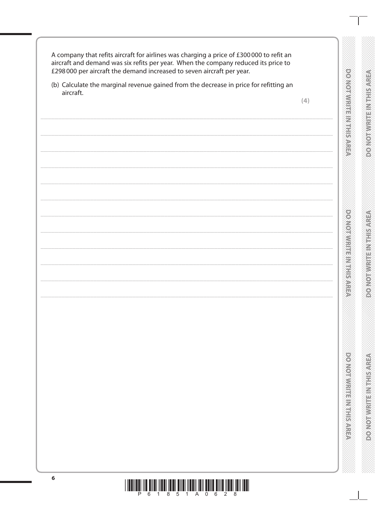A company that refits aircraft for airlines was charging a price of £300000 to refit an aircraft and demand was six refits per year. When the company reduced its price to £298000 per aircraft the demand increased to seven aircraft per year.

(b) Calculate the marginal revenue gained from the decrease in price for refitting an aircraft.

 $(4)$ 

**DOOMORATION ENGINEERING** 

DO NOT WRITE IN THIS AREA

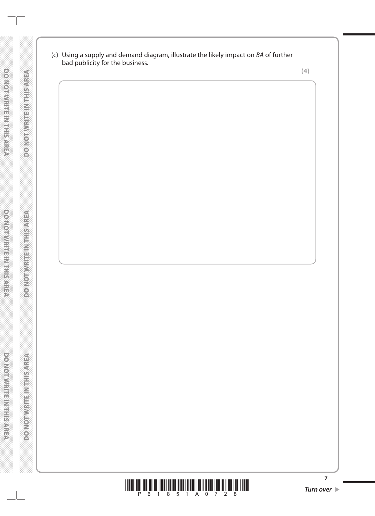(c) Using a supply and demand diagram, illustrate the likely impact on *BA* of further bad publicity for the business.

 **(4)**

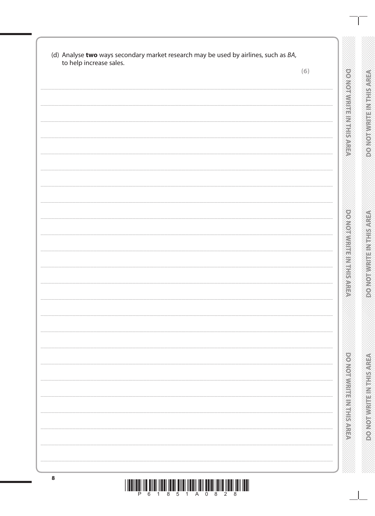| (d) Analyse two ways secondary market research may be used by airlines, such as BA,<br>to help increase sales. |     |  |
|----------------------------------------------------------------------------------------------------------------|-----|--|
|                                                                                                                | (6) |  |
|                                                                                                                |     |  |
|                                                                                                                |     |  |
|                                                                                                                |     |  |
|                                                                                                                |     |  |
|                                                                                                                |     |  |
|                                                                                                                |     |  |
|                                                                                                                |     |  |
|                                                                                                                |     |  |
|                                                                                                                |     |  |
|                                                                                                                |     |  |
|                                                                                                                |     |  |
|                                                                                                                |     |  |
|                                                                                                                |     |  |
|                                                                                                                |     |  |
|                                                                                                                |     |  |
|                                                                                                                |     |  |
|                                                                                                                |     |  |
|                                                                                                                |     |  |
|                                                                                                                |     |  |
|                                                                                                                |     |  |
|                                                                                                                |     |  |
|                                                                                                                |     |  |
|                                                                                                                |     |  |
|                                                                                                                |     |  |
|                                                                                                                |     |  |
|                                                                                                                |     |  |
|                                                                                                                |     |  |
|                                                                                                                |     |  |
|                                                                                                                |     |  |
|                                                                                                                |     |  |
|                                                                                                                |     |  |
|                                                                                                                |     |  |
|                                                                                                                |     |  |
|                                                                                                                |     |  |
| $\bullet$                                                                                                      |     |  |

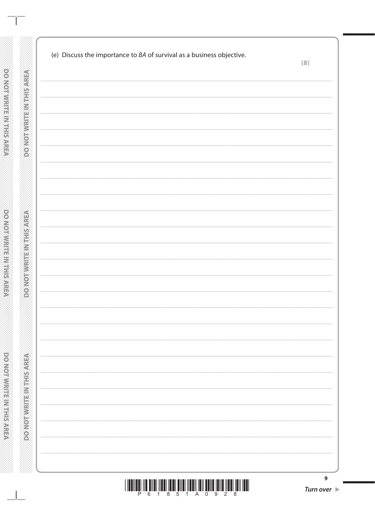|                                 | (e) Discuss the importance to $BA$ of survival as a business objective. | (8) |
|---------------------------------|-------------------------------------------------------------------------|-----|
| <b>PONOISIUS REGIONALES</b>     |                                                                         |     |
| $\cdots$                        | .                                                                       |     |
|                                 |                                                                         |     |
|                                 |                                                                         |     |
|                                 |                                                                         |     |
|                                 |                                                                         |     |
|                                 |                                                                         |     |
| <b>DOMORATION</b> CONTROL       |                                                                         |     |
|                                 |                                                                         |     |
|                                 |                                                                         |     |
|                                 |                                                                         |     |
|                                 |                                                                         |     |
|                                 |                                                                         |     |
|                                 |                                                                         |     |
|                                 |                                                                         |     |
|                                 |                                                                         |     |
| <b>POINOT WRITEING RIS AREA</b> |                                                                         |     |
|                                 |                                                                         |     |
|                                 |                                                                         |     |
|                                 |                                                                         | 9   |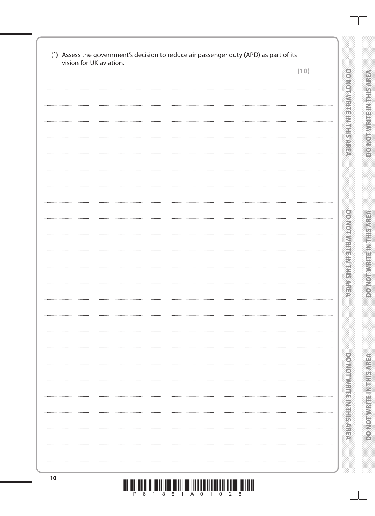| vision for UK aviation. |      |
|-------------------------|------|
|                         | (10) |
|                         |      |
|                         |      |
|                         |      |
|                         |      |
|                         |      |
|                         |      |
|                         |      |
|                         |      |
|                         |      |
|                         |      |
|                         |      |
|                         |      |
|                         |      |
|                         |      |
|                         |      |
|                         |      |
|                         |      |
|                         |      |
|                         |      |
|                         |      |
|                         |      |
|                         |      |
|                         |      |
|                         |      |
|                         |      |
|                         |      |
|                         |      |
|                         |      |
|                         |      |
|                         |      |
|                         |      |
|                         |      |
|                         |      |
|                         |      |
|                         |      |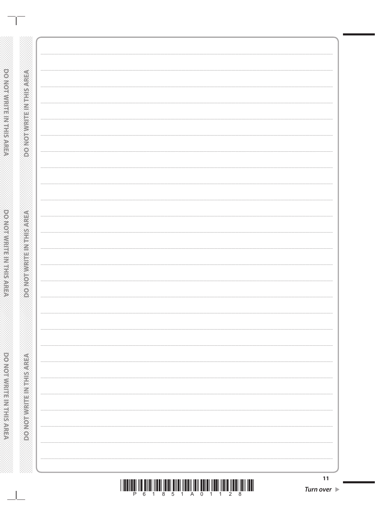|   | $\sim$             | $- - - -$ |
|---|--------------------|-----------|
| . |                    |           |
|   | $\sim$<br>$\cdots$ |           |
| ٠ |                    |           |
|   |                    |           |
|   |                    |           |
|   |                    |           |
|   |                    |           |

| I III AN AN DI MARKA MARKA MARKA MARKA MARKA MARKA MARKA MARKA MARKA MARKA MARKA MARKA MARKA MARKA MARKA MARKA |  |  |                         |  |  |  |
|----------------------------------------------------------------------------------------------------------------|--|--|-------------------------|--|--|--|
|                                                                                                                |  |  | P 6 1 8 5 1 A 0 1 1 2 8 |  |  |  |

**DOMOTWRITEIN3HS/AREA** 

**DO NOT WRITE IN THIS AREA**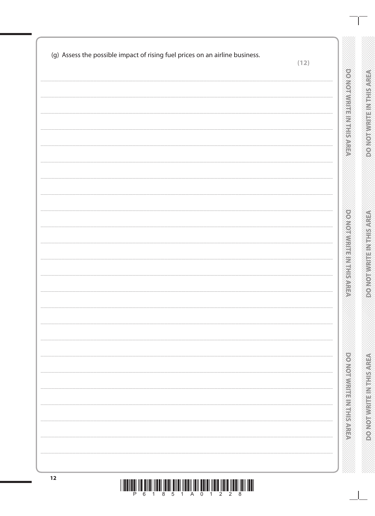| (g) Assess the possible impact of rising fuel prices on an airline business. | (12) |
|------------------------------------------------------------------------------|------|
|                                                                              | .    |
|                                                                              |      |
|                                                                              |      |
|                                                                              |      |
|                                                                              |      |
|                                                                              |      |
|                                                                              |      |
|                                                                              |      |
|                                                                              |      |
|                                                                              |      |
|                                                                              |      |
|                                                                              |      |
|                                                                              |      |
|                                                                              |      |
|                                                                              |      |
|                                                                              |      |
|                                                                              |      |
|                                                                              |      |
|                                                                              |      |
|                                                                              |      |
|                                                                              |      |
|                                                                              |      |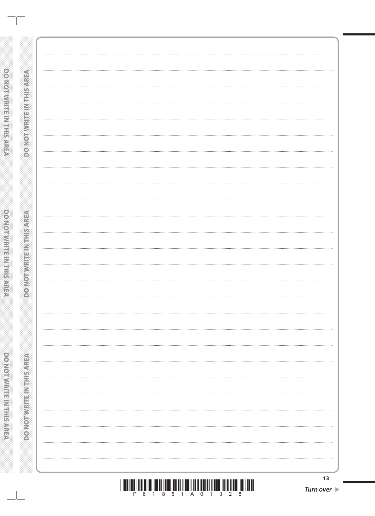| Ш<br>P<br>6<br>0<br>$\overline{2}$<br>8<br>8<br>Α<br>3<br>5 | Turn over ▶ |
|-------------------------------------------------------------|-------------|
|                                                             | 13          |
|                                                             |             |
|                                                             |             |
|                                                             |             |
|                                                             |             |
|                                                             |             |
|                                                             |             |
|                                                             |             |
|                                                             |             |
|                                                             |             |
|                                                             |             |
|                                                             |             |
|                                                             |             |

**DOMOTWRITEIN3HS/AREA** 

**DO NOT WRITE IN THIS AREA**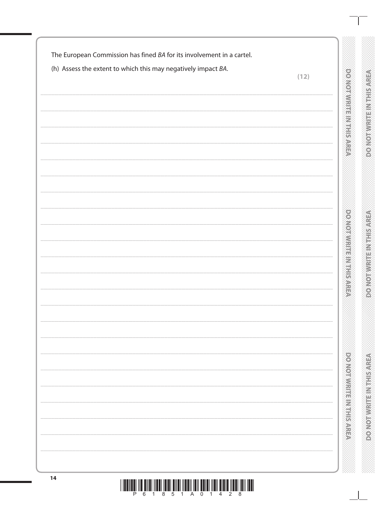| (h) Assess the extent to which this may negatively impact BA. |      |
|---------------------------------------------------------------|------|
|                                                               | (12) |
|                                                               |      |
|                                                               |      |
|                                                               |      |
|                                                               |      |
|                                                               |      |
|                                                               |      |
|                                                               |      |
|                                                               |      |
|                                                               |      |
|                                                               |      |
|                                                               |      |
|                                                               |      |
|                                                               |      |
|                                                               |      |
|                                                               |      |
|                                                               |      |
|                                                               |      |
|                                                               |      |
|                                                               |      |
|                                                               |      |
|                                                               |      |
|                                                               |      |
|                                                               |      |
|                                                               |      |
|                                                               |      |
|                                                               |      |
|                                                               |      |
|                                                               |      |
|                                                               |      |
|                                                               |      |
|                                                               |      |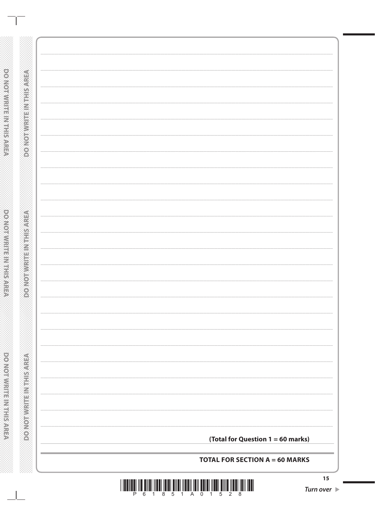| .                                     |  |
|---------------------------------------|--|
|                                       |  |
|                                       |  |
|                                       |  |
|                                       |  |
|                                       |  |
|                                       |  |
|                                       |  |
|                                       |  |
|                                       |  |
|                                       |  |
|                                       |  |
|                                       |  |
|                                       |  |
|                                       |  |
|                                       |  |
|                                       |  |
|                                       |  |
|                                       |  |
|                                       |  |
|                                       |  |
|                                       |  |
|                                       |  |
|                                       |  |
|                                       |  |
|                                       |  |
|                                       |  |
|                                       |  |
|                                       |  |
|                                       |  |
|                                       |  |
|                                       |  |
|                                       |  |
|                                       |  |
|                                       |  |
|                                       |  |
|                                       |  |
|                                       |  |
|                                       |  |
|                                       |  |
|                                       |  |
|                                       |  |
| (Total for Question 1 = 60 marks)     |  |
|                                       |  |
| <b>TOTAL FOR SECTION A = 60 MARKS</b> |  |

Turn over  $\blacktriangleright$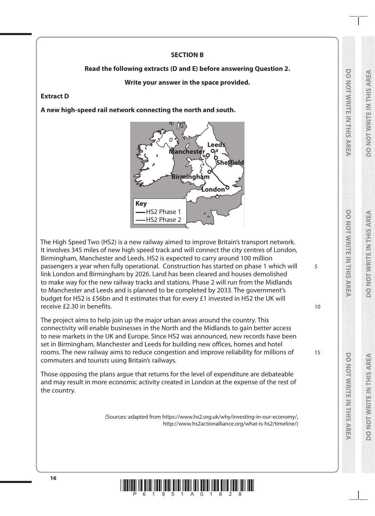5

10

15

# **SECTION B**

## **Read the following extracts (D and E) before answering Question 2.**

**Write your answer in the space provided.**

#### **Extract D**

**A new high-speed rail network connecting the north and south.**



The High Speed Two (HS2) is a new railway aimed to improve Britain's transport network. It involves 345 miles of new high speed track and will connect the city centres of London, Birmingham, Manchester and Leeds. HS2 is expected to carry around 100 million passengers a year when fully operational. Construction has started on phase 1 which will link London and Birmingham by 2026. Land has been cleared and houses demolished to make way for the new railway tracks and stations. Phase 2 will run from the Midlands to Manchester and Leeds and is planned to be completed by 2033. The government's budget for HS2 is £56bn and it estimates that for every £1 invested in HS2 the UK will receive £2.30 in benefits.

The project aims to help join up the major urban areas around the country. This connectivity will enable businesses in the North and the Midlands to gain better access to new markets in the UK and Europe. Since HS2 was announced, new records have been set in Birmingham, Manchester and Leeds for building new offices, homes and hotel rooms. The new railway aims to reduce congestion and improve reliability for millions of commuters and tourists using Britain's railways.

Those opposing the plans argue that returns for the level of expenditure are debateable and may result in more economic activity created in London at the expense of the rest of the country.

> (Sources: adapted from https://www.hs2.org.uk/why/investing-in-our-economy/, http://www.hs2actionalliance.org/what-is-hs2/timeline/)

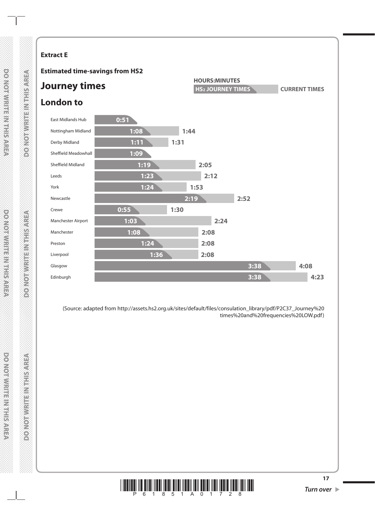# **Extract E**



(Source: adapted from http://assets.hs2.org.uk/sites/default/files/consulation\_library/pdf/P2C37\_Journey%20 times%20and%20frequencies%20LOW.pdf)

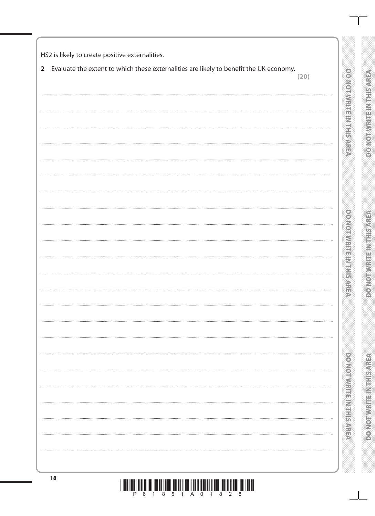| (20) | 2 Evaluate the extent to which these externalities are likely to benefit the UK economy. |
|------|------------------------------------------------------------------------------------------|
|      |                                                                                          |
|      |                                                                                          |
|      |                                                                                          |
|      |                                                                                          |
|      |                                                                                          |
|      |                                                                                          |
|      |                                                                                          |
|      |                                                                                          |
|      |                                                                                          |
|      |                                                                                          |
|      |                                                                                          |
|      |                                                                                          |
|      |                                                                                          |
|      |                                                                                          |
|      |                                                                                          |
|      |                                                                                          |
|      |                                                                                          |
|      |                                                                                          |
|      |                                                                                          |
|      |                                                                                          |
|      |                                                                                          |
|      |                                                                                          |
|      |                                                                                          |
|      |                                                                                          |
|      |                                                                                          |
|      |                                                                                          |
|      |                                                                                          |
|      |                                                                                          |
|      |                                                                                          |
|      |                                                                                          |
|      |                                                                                          |
|      |                                                                                          |
|      |                                                                                          |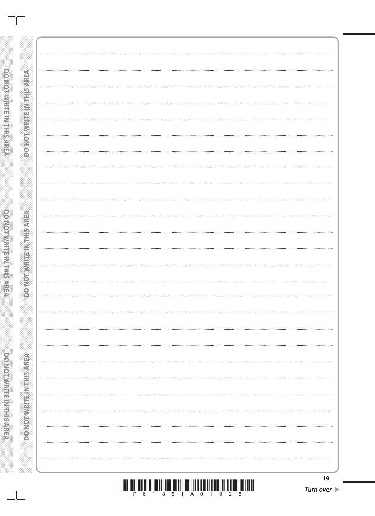| 19 |
|----|
|    |
|    |
|    |
|    |
|    |
|    |
|    |
|    |
|    |
|    |
|    |
|    |
|    |
|    |
|    |
|    |
|    |
|    |

**DONOTWRITE INTIESAREA** 

**PONOTWEIGHNITHS AREA** 

**DO NOT WRITEIN THIS AREA**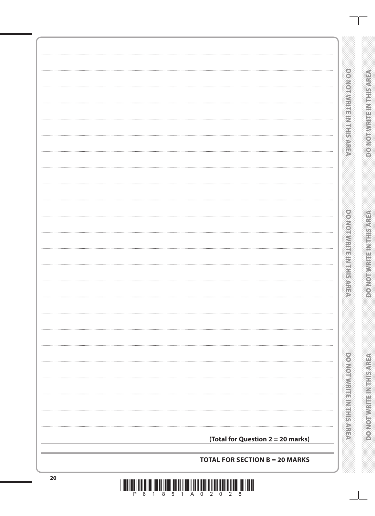|        | ì    |
|--------|------|
|        |      |
|        |      |
|        |      |
|        |      |
|        |      |
|        |      |
| Ì      | í    |
|        |      |
|        |      |
|        |      |
|        | j    |
|        | í    |
|        |      |
|        |      |
|        |      |
|        | ١    |
|        |      |
| í      |      |
|        |      |
|        |      |
|        |      |
|        |      |
|        |      |
|        | í    |
|        |      |
|        |      |
|        |      |
| ì      |      |
|        |      |
| į      | í    |
|        | j    |
|        |      |
| j      |      |
|        |      |
| É<br>i |      |
|        |      |
|        |      |
| nó     |      |
|        |      |
|        |      |
|        | š    |
|        |      |
|        |      |
|        |      |
|        |      |
| ij     |      |
|        |      |
| Ì<br>i | 5    |
|        |      |
| j      | 5    |
|        |      |
|        | í    |
| ë      |      |
|        |      |
|        |      |
|        |      |
| j      | 5    |
|        | j    |
| ì      |      |
|        | ì    |
|        |      |
|        |      |
|        |      |
|        |      |
| í      | í    |
|        |      |
|        | 5    |
|        |      |
| j      | í    |
| j      | í    |
|        |      |
|        |      |
|        |      |
|        |      |
| i      |      |
|        | ì    |
| j      | ׇ֚֠֕ |
|        |      |
|        | ĭ    |
|        |      |

# (Total for Question 2 = 20 marks) **TOTAL FOR SECTION B = 20 MARKS**  $20$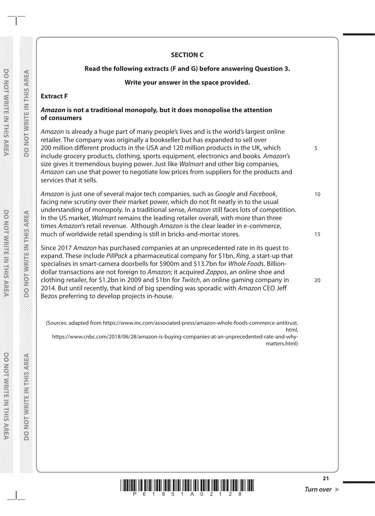# **SECTION C**

# **Read the following extracts (F and G) before answering Question 3.**

#### **Write your answer in the space provided.**

#### **Extract F**

#### *Amazon* **is not a traditional monopoly, but it does monopolise the attention of consumers**

*Amazon* is already a huge part of many people's lives and is the world's largest online retailer. The company was originally a bookseller but has expanded to sell over 200 million different products in the USA and 120 million products in the UK, which include grocery products, clothing, sports equipment, electronics and books. *Amazon*'s size gives it tremendous buying power. Just like *Walmart* and other big companies, *Amazon* can use that power to negotiate low prices from suppliers for the products and services that it sells.

*Amazon* is just one of several major tech companies, such as *Google* and *Facebook*, facing new scrutiny over their market power, which do not fit neatly in to the usual understanding of monopoly. In a traditional sense, *Amazon* still faces lots of competition. In the US market, *Walmart* remains the leading retailer overall, with more than three times *Amazon*'s retail revenue. Although *Amazon* is the clear leader in e-commerce, much of worldwide retail spending is still in bricks-and-mortar stores.

Since 2017 *Amazon* has purchased companies at an unprecedented rate in its quest to expand. These include *PillPack* a pharmaceutical company for \$1bn, *Ring*, a start-up that specialises in smart-camera doorbells for \$900m and \$13.7bn for *Whole Foods*. Billiondollar transactions are not foreign to *Amazon*; it acquired *Zappos*, an online shoe and clothing retailer, for \$1.2bn in 2009 and \$1bn for *Twitch*, an online gaming company in 2014. But until recently, that kind of big spending was sporadic with *Amazon* CEO Jeff Bezos preferring to develop projects in-house.

(Sources: adapted from https://www.inc.com/associated-press/amazon-whole-foods-commerce-antitrust. html,

https://www.cnbc.com/2018/06/28/amazon-is-buying-companies-at-an-unprecedented-rate-and-whymatters.html)



**RESINGERAL PRODUCTIONS** 

5

10

15

20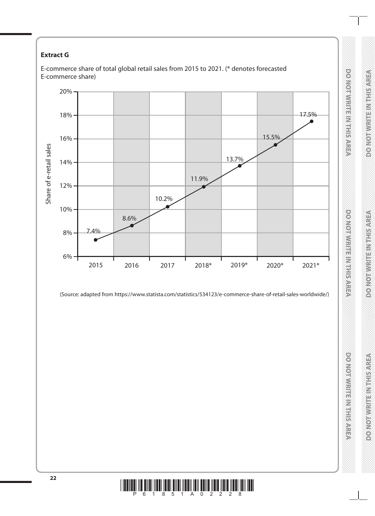# **DOMORATION ENGINEERING**

DONOTWRITEINTHISAREA

# **Extract G**

E-commerce share of total global retail sales from 2015 to 2021. (\* denotes forecasted E-commerce share)



(Source: adapted from https://www.statista.com/statistics/534123/e-commerce-share-of-retail-sales-worldwide/)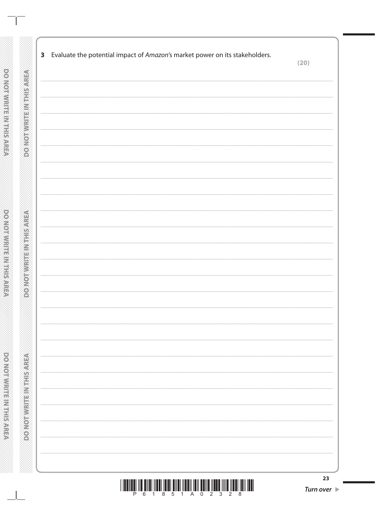| <br><br>                                                                                                             |  |
|----------------------------------------------------------------------------------------------------------------------|--|
|                                                                                                                      |  |
|                                                                                                                      |  |
|                                                                                                                      |  |
|                                                                                                                      |  |
|                                                                                                                      |  |
|                                                                                                                      |  |
|                                                                                                                      |  |
|                                                                                                                      |  |
|                                                                                                                      |  |
|                                                                                                                      |  |
|                                                                                                                      |  |
|                                                                                                                      |  |
|                                                                                                                      |  |
|                                                                                                                      |  |
|                                                                                                                      |  |
|                                                                                                                      |  |
|                                                                                                                      |  |
|                                                                                                                      |  |
|                                                                                                                      |  |
|                                                                                                                      |  |
|                                                                                                                      |  |
|                                                                                                                      |  |
|                                                                                                                      |  |
|                                                                                                                      |  |
|                                                                                                                      |  |
|                                                                                                                      |  |
| <u>T TERMEN TE DITETATE DE L'INTERNATION DE L'ARTICLE DE L'ARTICLE DE L'ARTICLE DE L'ARTICLE DE L'ARTICLE DE L'A</u> |  |

| <u> ANTI MENDIMI MENDIMI ANTI MENDIMI ANTI MENDIMI ANTI MEN</u> |  |  |  |  |  |  |
|-----------------------------------------------------------------|--|--|--|--|--|--|
| P 6 1 8 5 1 A 0 2 3 2 8                                         |  |  |  |  |  |  |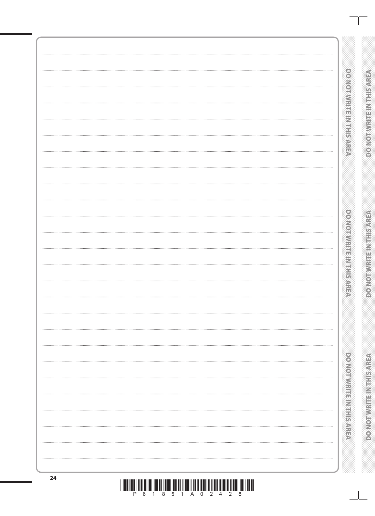| ŕ      |   |  |  |
|--------|---|--|--|
|        |   |  |  |
| ٦      |   |  |  |
|        |   |  |  |
| ı      |   |  |  |
|        |   |  |  |
| ⇔      |   |  |  |
|        | í |  |  |
| Ĥ      | ú |  |  |
|        |   |  |  |
|        |   |  |  |
|        |   |  |  |
|        |   |  |  |
| ÷      |   |  |  |
|        |   |  |  |
|        |   |  |  |
| ė      |   |  |  |
|        |   |  |  |
| ≒      |   |  |  |
| Ś      |   |  |  |
|        |   |  |  |
|        |   |  |  |
|        | í |  |  |
| ⇔      |   |  |  |
|        |   |  |  |
|        |   |  |  |
| ۱      |   |  |  |
|        |   |  |  |
|        |   |  |  |
|        |   |  |  |
| ≚      | ÷ |  |  |
| ä      |   |  |  |
|        |   |  |  |
| —      |   |  |  |
|        |   |  |  |
|        |   |  |  |
| ≚      |   |  |  |
|        | ì |  |  |
| ú      |   |  |  |
| š      |   |  |  |
| ≃<br>j | í |  |  |
|        |   |  |  |
|        |   |  |  |
|        |   |  |  |
|        |   |  |  |
| è<br>ļ |   |  |  |
|        |   |  |  |
| é      |   |  |  |
| u      |   |  |  |
| è      |   |  |  |
|        |   |  |  |
|        |   |  |  |
| ú      |   |  |  |
| ń      |   |  |  |
| ğ      |   |  |  |
|        |   |  |  |
|        |   |  |  |
|        |   |  |  |
|        |   |  |  |
|        |   |  |  |
|        |   |  |  |
|        |   |  |  |
|        |   |  |  |
|        |   |  |  |

| 24 |  |
|----|--|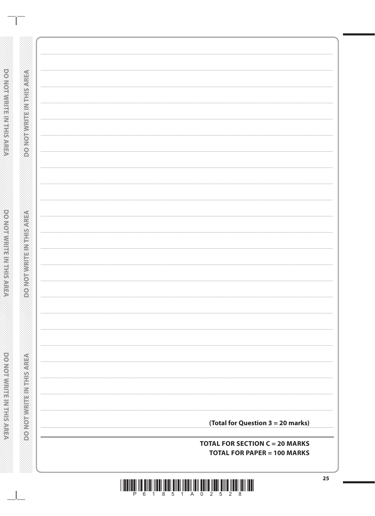| <b>TERMINER IN ENTREDUCTION</b> |                                       |
|---------------------------------|---------------------------------------|
|                                 |                                       |
|                                 |                                       |
|                                 |                                       |
|                                 |                                       |
|                                 |                                       |
|                                 |                                       |
|                                 |                                       |
|                                 |                                       |
|                                 |                                       |
|                                 |                                       |
|                                 |                                       |
|                                 |                                       |
|                                 |                                       |
|                                 |                                       |
|                                 |                                       |
|                                 |                                       |
|                                 |                                       |
|                                 |                                       |
|                                 |                                       |
|                                 |                                       |
|                                 |                                       |
|                                 |                                       |
|                                 |                                       |
|                                 |                                       |
|                                 |                                       |
|                                 |                                       |
|                                 |                                       |
|                                 |                                       |
|                                 |                                       |
|                                 |                                       |
|                                 |                                       |
|                                 |                                       |
|                                 |                                       |
|                                 |                                       |
|                                 |                                       |
|                                 |                                       |
|                                 |                                       |
|                                 |                                       |
|                                 |                                       |
|                                 |                                       |
|                                 |                                       |
|                                 |                                       |
|                                 |                                       |
|                                 |                                       |
|                                 |                                       |
|                                 |                                       |
|                                 |                                       |
|                                 |                                       |
|                                 |                                       |
|                                 |                                       |
|                                 |                                       |
|                                 |                                       |
|                                 |                                       |
|                                 |                                       |
|                                 |                                       |
|                                 |                                       |
|                                 |                                       |
|                                 |                                       |
|                                 |                                       |
|                                 |                                       |
|                                 |                                       |
|                                 |                                       |
|                                 |                                       |
|                                 |                                       |
|                                 |                                       |
|                                 |                                       |
|                                 |                                       |
|                                 |                                       |
|                                 |                                       |
|                                 | (Total for Question 3 = 20 marks)     |
|                                 |                                       |
|                                 |                                       |
|                                 |                                       |
| <b>POINOT WERE EINITED AREA</b> |                                       |
|                                 | <b>TOTAL FOR SECTION C = 20 MARKS</b> |
|                                 |                                       |
|                                 | <b>TOTAL FOR PAPER = 100 MARKS</b>    |
|                                 |                                       |
|                                 |                                       |

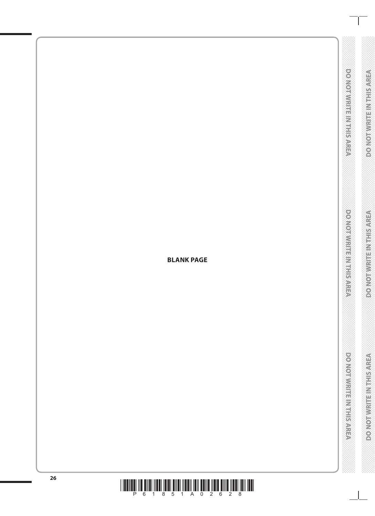

**BLANK PAGE**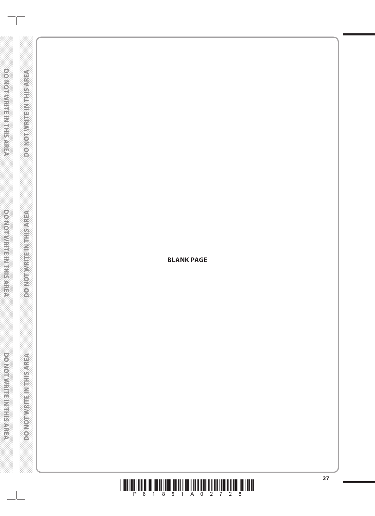**BLANK PAGE**